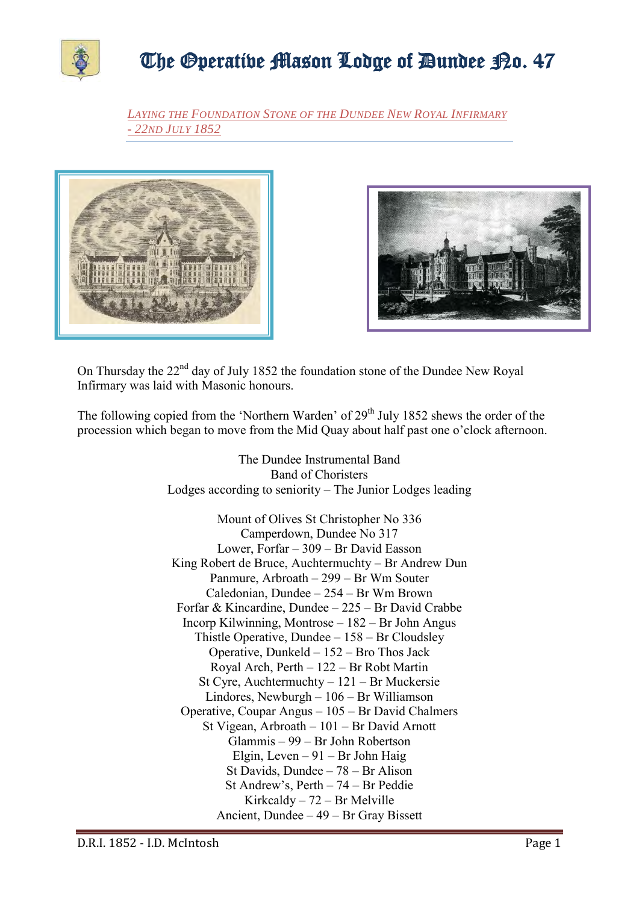

*LAYING THE FOUNDATION STONE OF THE DUNDEE NEW ROYAL INFIRMARY - 22ND JULY 1852*





On Thursday the 22nd day of July 1852 the foundation stone of the Dundee New Royal Infirmary was laid with Masonic honours.

The following copied from the 'Northern Warden' of 29<sup>th</sup> July 1852 shews the order of the procession which began to move from the Mid Quay about half past one o'clock afternoon.

> The Dundee Instrumental Band Band of Choristers Lodges according to seniority – The Junior Lodges leading

Mount of Olives St Christopher No 336 Camperdown, Dundee No 317 Lower, Forfar – 309 – Br David Easson King Robert de Bruce, Auchtermuchty – Br Andrew Dun Panmure, Arbroath – 299 – Br Wm Souter Caledonian, Dundee – 254 – Br Wm Brown Forfar & Kincardine, Dundee – 225 – Br David Crabbe Incorp Kilwinning, Montrose – 182 – Br John Angus Thistle Operative, Dundee – 158 – Br Cloudsley Operative, Dunkeld – 152 – Bro Thos Jack Royal Arch, Perth – 122 – Br Robt Martin St Cyre, Auchtermuchty – 121 – Br Muckersie Lindores, Newburgh – 106 – Br Williamson Operative, Coupar Angus – 105 – Br David Chalmers St Vigean, Arbroath – 101 – Br David Arnott Glammis – 99 – Br John Robertson Elgin, Leven – 91 – Br John Haig St Davids, Dundee – 78 – Br Alison St Andrew's, Perth – 74 – Br Peddie Kirkcaldy – 72 – Br Melville Ancient, Dundee – 49 – Br Gray Bissett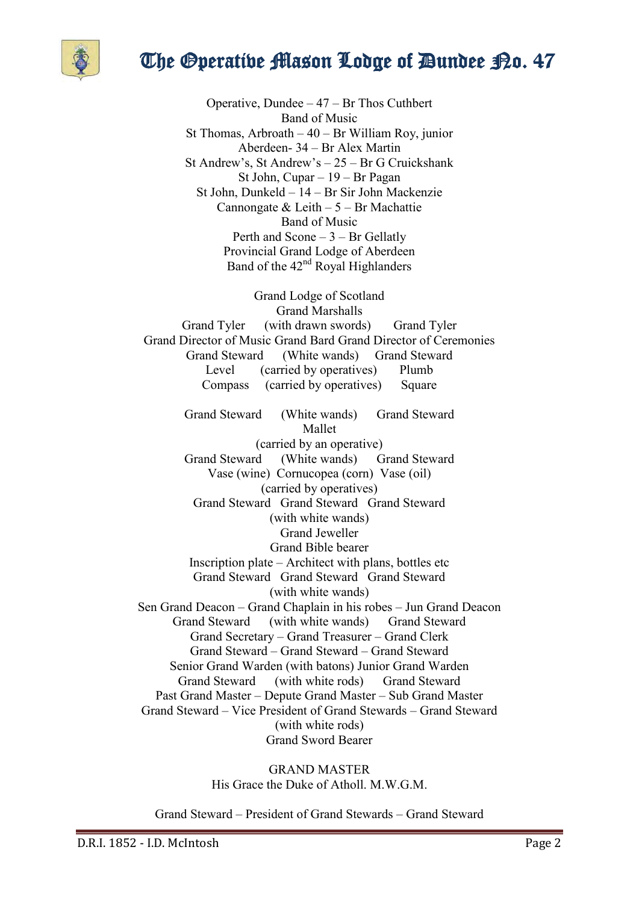

Operative, Dundee – 47 – Br Thos Cuthbert Band of Music St Thomas, Arbroath – 40 – Br William Roy, junior Aberdeen- 34 – Br Alex Martin St Andrew's, St Andrew's – 25 – Br G Cruickshank St John, Cupar – 19 – Br Pagan St John, Dunkeld – 14 – Br Sir John Mackenzie Cannongate & Leith  $-5 - Br$  Machattie Band of Music Perth and Scone  $-3$  – Br Gellatly Provincial Grand Lodge of Aberdeen Band of the  $42<sup>nd</sup>$  Royal Highlanders

Grand Lodge of Scotland Grand Marshalls Grand Tyler (with drawn swords) Grand Tyler Grand Director of Music Grand Bard Grand Director of Ceremonies Grand Steward (White wands) Grand Steward Level (carried by operatives) Plumb Compass (carried by operatives) Square

Grand Steward (White wands) Grand Steward Mallet (carried by an operative) Grand Steward (White wands) Grand Steward Vase (wine) Cornucopea (corn) Vase (oil) (carried by operatives) Grand Steward Grand Steward Grand Steward (with white wands) Grand Jeweller Grand Bible bearer Inscription plate – Architect with plans, bottles etc Grand Steward Grand Steward Grand Steward (with white wands) Sen Grand Deacon – Grand Chaplain in his robes – Jun Grand Deacon Grand Steward (with white wands) Grand Steward Grand Secretary – Grand Treasurer – Grand Clerk Grand Steward – Grand Steward – Grand Steward Senior Grand Warden (with batons) Junior Grand Warden Grand Steward (with white rods) Grand Steward Past Grand Master – Depute Grand Master – Sub Grand Master Grand Steward – Vice President of Grand Stewards – Grand Steward (with white rods) Grand Sword Bearer

> GRAND MASTER His Grace the Duke of Atholl. M.W.G.M.

Grand Steward – President of Grand Stewards – Grand Steward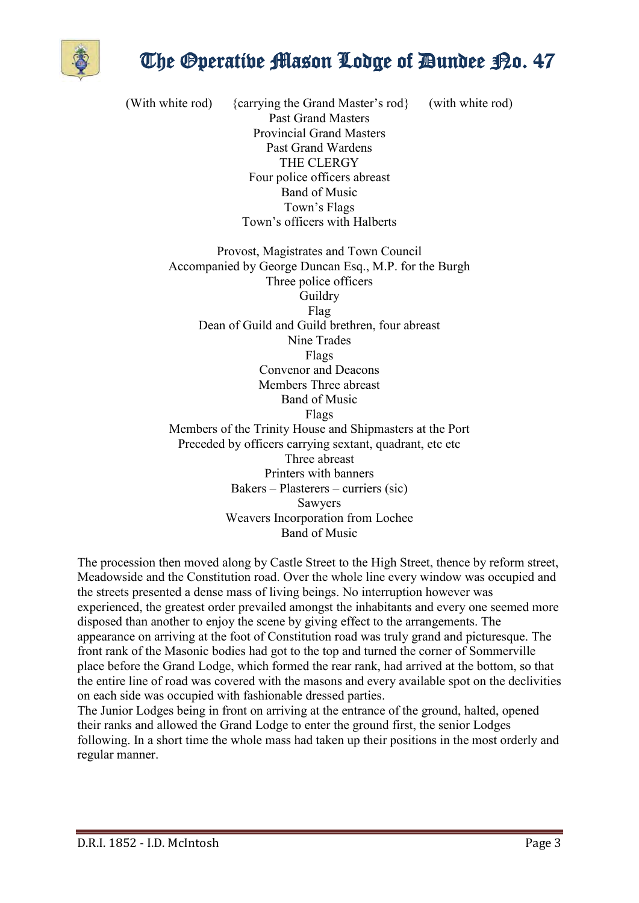

(With white rod) {carrying the Grand Master's rod} (with white rod) Past Grand Masters Provincial Grand Masters Past Grand Wardens THE CLERGY Four police officers abreast Band of Music Town's Flags Town's officers with Halberts Provost, Magistrates and Town Council Accompanied by George Duncan Esq., M.P. for the Burgh Three police officers

Guildry Flag Dean of Guild and Guild brethren, four abreast Nine Trades Flags Convenor and Deacons Members Three abreast Band of Music Flags Members of the Trinity House and Shipmasters at the Port Preceded by officers carrying sextant, quadrant, etc etc Three abreast Printers with banners Bakers – Plasterers – curriers (sic) Sawyers Weavers Incorporation from Lochee Band of Music

The procession then moved along by Castle Street to the High Street, thence by reform street, Meadowside and the Constitution road. Over the whole line every window was occupied and the streets presented a dense mass of living beings. No interruption however was experienced, the greatest order prevailed amongst the inhabitants and every one seemed more disposed than another to enjoy the scene by giving effect to the arrangements. The appearance on arriving at the foot of Constitution road was truly grand and picturesque. The front rank of the Masonic bodies had got to the top and turned the corner of Sommerville place before the Grand Lodge, which formed the rear rank, had arrived at the bottom, so that the entire line of road was covered with the masons and every available spot on the declivities on each side was occupied with fashionable dressed parties.

The Junior Lodges being in front on arriving at the entrance of the ground, halted, opened their ranks and allowed the Grand Lodge to enter the ground first, the senior Lodges following. In a short time the whole mass had taken up their positions in the most orderly and regular manner.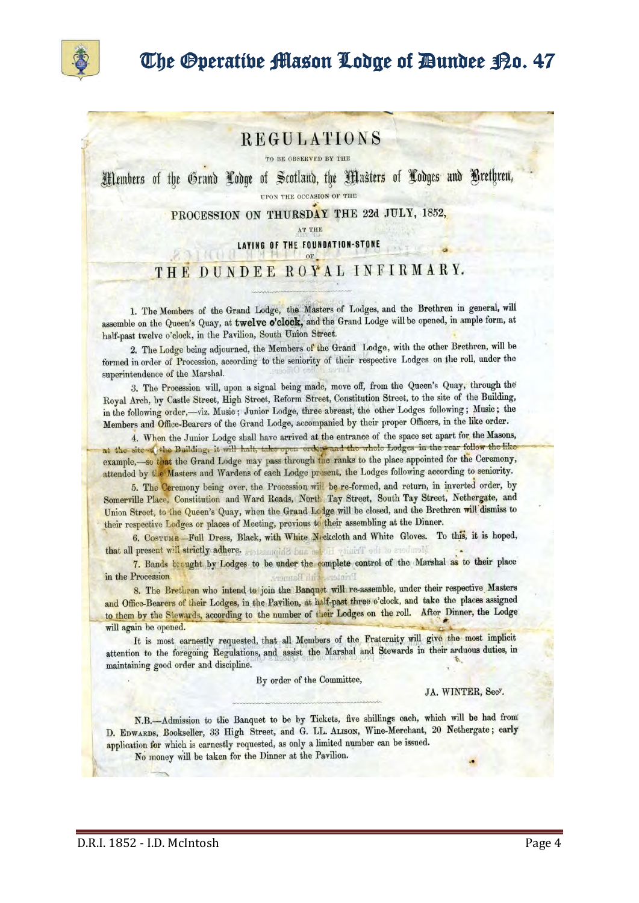

### **REGULATIONS**

TO BE OBSERVED BY THE

Members of the Grand Codge of Scotland, the Masters of Codges and Brethren,

UPON THE OCCASION OF THE

PROCESSION ON THURSDAY THE 22d JULY, 1852,

AT THE

LAYING OF THE FOUNDATION-STONE

#### THE DUNDEE ROYAL INFIRMARY.

1. The Members of the Grand Lodge, the Masters of Lodges, and the Brethren in general, will assemble on the Queen's Quay, at twelve o'clock, and the Grand Lodge will be opened, in ample form, at half-past twelve o'clock, in the Pavilion, South Union Street.

2. The Lodge being adjourned, the Members of the Grand Lodge, with the other Brethren, will be formed in order of Procession, according to the seniority of their respective Lodges on the roll, under the superintendence of the Marshal.

3. The Procession will, upon a signal being made, move off, from the Queen's Quay, through the Royal Arch, by Castle Street, High Street, Reform Street, Constitution Street, to the site of the Building, in the following order,-viz. Music; Junior Lodge, three abreast, the other Lodges following; Music; the Members and Office-Bearers of the Grand Lodge, accompanied by their proper Officers, in the like order.

4. When the Junior Lodge shall have arrived at the entrance of the space set apart for the Masons, at the site of the Building, it will halt, take open orders and the whole Lodges in the rear follow the like example,-so that the Grand Lodge may pass through the ranks to the place appointed for the Ceremony, attended by the Masters and Wardens of each Lodge present, the Lodges following according to seniority.

5. The Ceremony being over, the Procession will be re-formed, and return, in inverted order, by Somerville Place, Constitution and Ward Roads, North Tay Street, South Tay Street, Nethergate, and Union Street, to the Queen's Quay, when the Grand Lodge will be closed, and the Brethren will dismiss to their respective Lodges or places of Meeting, previous to their assembling at the Dinner.

6. COSTUME-Full Dress, Black, with White Neckeloth and White Gloves. To this, it is hoped, that all present will strictly adhere, erotesumida bus net ill vituril edi to anothrold

7. Bands brought by Lodges to be under the complete control of the Marshal as to their place in the Procession tith Banner.

8. The Brethren who intend to join the Banquet will re-assemble, under their respective Masters and Office-Bearers of their Lodges, in the Pavilion, at half-past three o'clock, and take the places assigned to them by the Stewards, according to the number of their Lodges on the roll. After Dinner, the Lodge will again be opened.

It is most earnestly requested, that all Members of the Fraternity will give the most implicit attention to the foregoing Regulations, and assist the Marshal and Stewards in their arduous duties, in maintaining good order and discipline.

By order of the Committee,

JA. WINTER, Secy.

N.B.-Admission to the Banquet to be by Tickets, five shillings each, which will be had from D. EDWARDS, Bookseller, 33 High Street, and G. LL. ALISON, Wine-Merchant, 20 Nethergate; early application for which is earnestly requested, as only a limited number can be issued.

No money will be taken for the Dinner at the Pavilion.